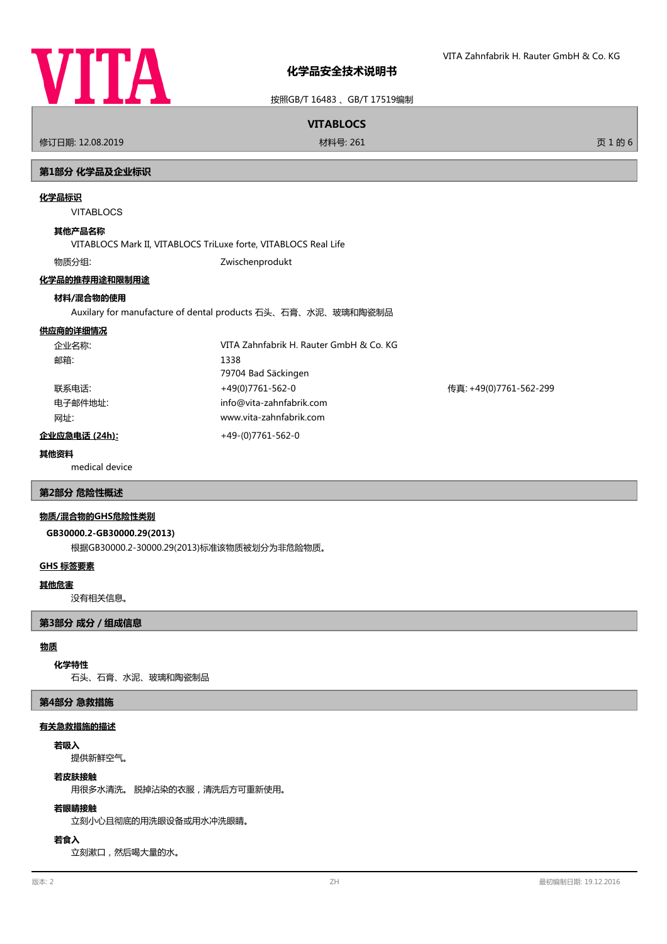

按照GB/T 16483 、GB/T 17519编制

# **VITABLOCS**

修订日期: 12.08.2019 材料号: 261 页 1 的 6

# **第1部分 化学品及企业标识**

#### **化学品标识**

VITABLOCS

# **其他产品名称**

VITABLOCS Mark II, VITABLOCS TriLuxe forte, VITABLOCS Real Life

物质分组: Zwischenprodukt

# **化学品的推荐用途和限制用途**

# **材料/混合物的使用**

Auxilary for manufacture of dental products 石头、石膏、水泥、玻璃和陶瓷制品

# **供应商的详细情况**

| 企业名称:         | VITA Zahnfabrik H. Rauter GmbH & Co. KG |                        |
|---------------|-----------------------------------------|------------------------|
| 邮箱:           | 1338                                    |                        |
|               | 79704 Bad Säckingen                     |                        |
| 联系电话:         | +49(0)7761-562-0                        | 传真: +49(0)7761-562-299 |
| 电子邮件地址:       | info@vita-zahnfabrik.com                |                        |
| 网址:           | www.vita-zahnfabrik.com                 |                        |
| 企业应急电话 (24h): | +49-(0)7761-562-0                       |                        |

#### **其他资料**

medical device

# **第2部分 危险性概述**

# **物质/混合物的GHS危险性类别**

#### **GB30000.2-GB30000.29(2013)**

根据GB30000.2-30000.29(2013)标准该物质被划分为非危险物质。

#### **GHS 标签要素**

#### **其他危害**

没有相关信息。

# **第3部分 成分/组成信息**

#### **物质**

# **化学特性**

石头、石膏、水泥、玻璃和陶瓷制品

#### **第4部分 急救措施**

#### **有关急救措施的描述**

#### **若吸入**

提供新鲜空气。

# **若皮肤接触**

用很多水清洗。 脱掉沾染的衣服,清洗后方可重新使用。

# **若眼睛接触**

立刻小心且彻底的用洗眼设备或用水冲洗眼睛。

# **若食入**

立刻漱口,然后喝大量的水。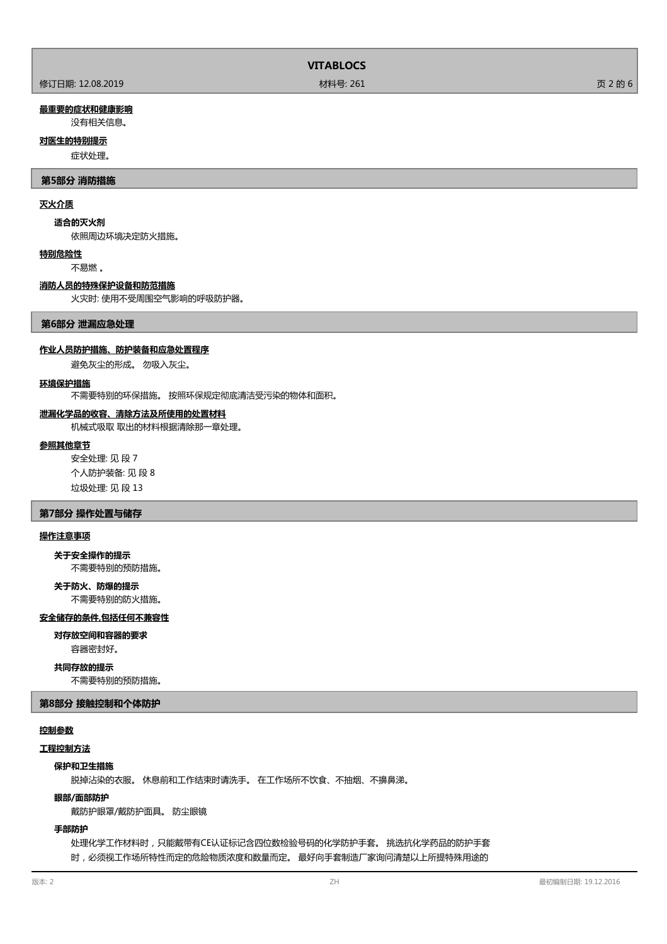|  |                  | <b>VITABLOCS</b> |         |
|--|------------------|------------------|---------|
|  | 修订日期: 12.08.2019 | 材料号: 261         | 页 2 的 6 |

# **最重要的症状和健康影响**

没有相关信息。

# **对医生的特别提示**

症状处理。

# **第5部分 消防措施**

# **灭火介质**

#### **适合的灭火剂**

依照周边环境决定防火措施。

#### **特别危险性**

不易燃 。

#### **消防人员的特殊保护设备和防范措施**

火灾时: 使用不受周围空气影响的呼吸防护器。

#### **第6部分 泄漏应急处理**

#### **作业人员防护措施、防护装备和应急处置程序**

避免灰尘的形成。 勿吸入灰尘。

#### **环境保护措施**

不需要特别的环保措施。 按照环保规定彻底清洁受污染的物体和面积。

#### **泄漏化学品的收容、清除方法及所使用的处置材料**

机械式吸取 取出的材料根据清除那一章处理。

#### **参照其他章节**

安全处理: 见 段 7 个人防护装备: 见 段 8 垃圾处理: 见 段 13

# **第7部分 操作处置与储存**

# **操作注意事项**

# **关于安全操作的提示**

不需要特别的预防措施。

不需要特别的防火措施。 **关于防火、防爆的提示**

# **安全储存的条件,包括任何不兼容性**

#### **对存放空间和容器的要求**

容器密封好。

# **共同存放的提示**

不需要特别的预防措施。

#### **第8部分 接触控制和个体防护**

## **控制参数**

## **工程控制方法**

#### **保护和卫生措施**

脱掉沾染的衣服。 休息前和工作结束时请洗手。 在工作场所不饮食、不抽烟、不擤鼻涕。

#### **眼部/面部防护**

戴防护眼罩/戴防护面具。 防尘眼镜

# **手部防护**

处理化学工作材料时,只能戴带有CE认证标记含四位数检验号码的化学防护手套。 挑选抗化学药品的防护手套 时,必须视工作场所特性而定的危险物质浓度和数量而定。 最好向手套制造厂家询问清楚以上所提特殊用途的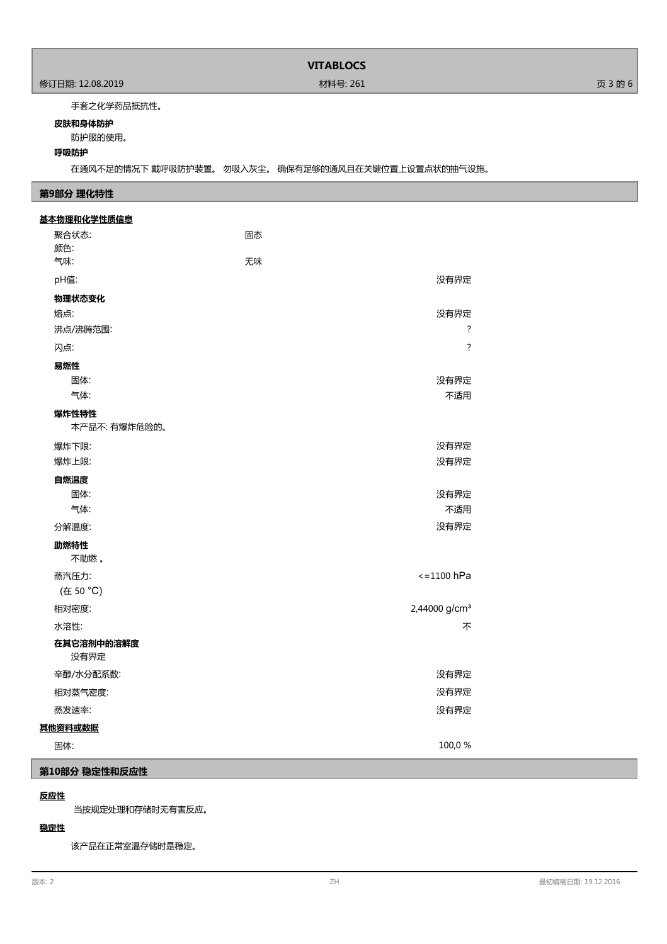# **VITABLOCS**

# 手套之化学药品抵抗性。

#### **皮肤和身体防护**

防护服的使用。

# **呼吸防护**

在通风不足的情况下 戴呼吸防护装置。 勿吸入灰尘。 确保有足够的通风且在关键位置上设置点状的抽气设施。

# **第9部分 理化特性**

| 基本物理和化学性质信息        |                           |  |
|--------------------|---------------------------|--|
| 聚合状态:              | 固态                        |  |
| 颜色:<br>气味:         | 无味                        |  |
| pH值:               | 没有界定                      |  |
|                    |                           |  |
| 物理状态变化<br>熔点:      | 没有界定                      |  |
| 沸点/沸腾范围:           | ?                         |  |
| 闪点:                | $\overline{\cdot}$        |  |
| 易燃性                |                           |  |
| 固体:                | 没有界定                      |  |
| 气体:                | 不适用                       |  |
| 爆炸性特性              |                           |  |
| 本产品不: 有爆炸危险的。      |                           |  |
| 爆炸下限:              | 没有界定                      |  |
| 爆炸上限:              | 没有界定                      |  |
| 自燃温度               |                           |  |
| 固体:                | 没有界定                      |  |
| 气体:                | 不适用                       |  |
| 分解温度:              | 没有界定                      |  |
| 助燃特性               |                           |  |
| 不助燃。               |                           |  |
| 蒸汽压力:              | $\epsilon$ =1100 hPa      |  |
| (在 50 °C)          |                           |  |
| 相对密度:              | 2,44000 g/cm <sup>3</sup> |  |
| 水溶性:               | 不                         |  |
| 在其它溶剂中的溶解度<br>没有界定 |                           |  |
| 辛醇/水分配系数:          | 没有界定                      |  |
| 相对蒸气密度:            | 没有界定                      |  |
| 蒸发速率:              | 没有界定                      |  |
| 其他资料或数据            |                           |  |
| 固体:                | 100,0%                    |  |

# **第10部分 稳定性和反应性**

# **反应性**

当按规定处理和存储时无有害反应。

# **稳定性**

该产品在正常室温存储时是稳定。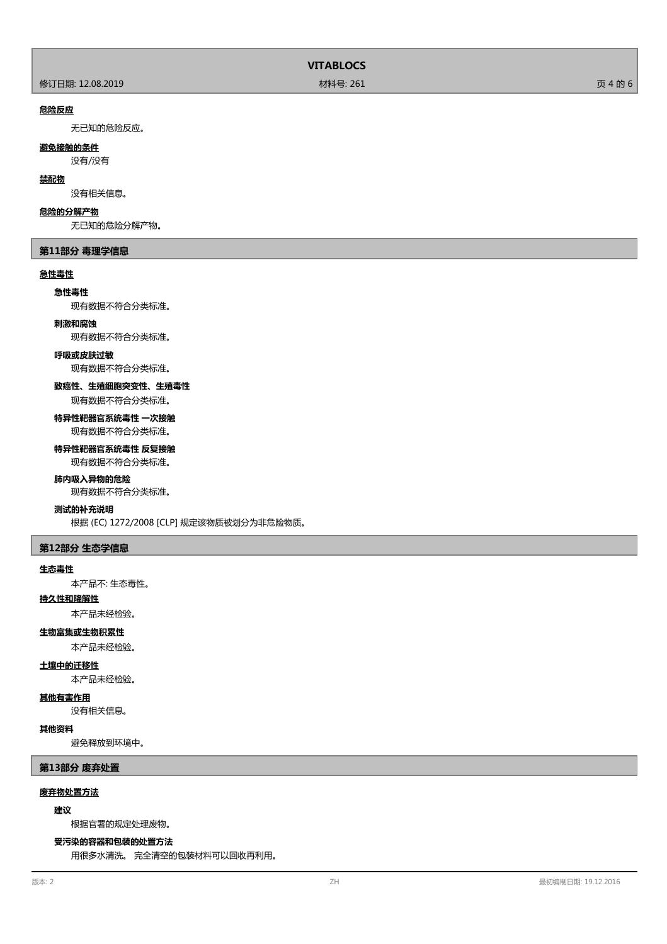|                  | <b>VITABLOCS</b> |         |
|------------------|------------------|---------|
| 修订日期: 12.08.2019 | 材料号: 261         | 页 4 的 6 |

#### **危险反应**

无已知的危险反应。

# **避免接触的条件**

没有/没有

# **禁配物**

没有相关信息。

#### **危险的分解产物**

无已知的危险分解产物。

#### **第11部分 毒理学信息**

# **急性毒性**

# **急性毒性**

现有数据不符合分类标准。

#### **刺激和腐蚀**

现有数据不符合分类标准。

#### **呼吸或皮肤过敏**

现有数据不符合分类标准。

# **致癌性、生殖细胞突变性、生殖毒性**

现有数据不符合分类标准。

#### **特异性靶器官系统毒性 一次接触** 现有数据不符合分类标准。

# **特异性靶器官系统毒性 反复接触**

现有数据不符合分类标准。

#### **肺内吸入异物的危险**

现有数据不符合分类标准。

# **测试的补充说明**

根据 (EC) 1272/2008 [CLP] 规定该物质被划分为非危险物质。

# **第12部分 生态学信息**

#### **生态毒性**

本产品不: 生态毒性。

# **持久性和降解性**

本产品未经检验。

# **生物富集或生物积累性**

本产品未经检验。

# **土壤中的迁移性**

本产品未经检验。

# **其他有害作用**

没有相关信息。

#### **其他资料**

避免释放到环境中。

**第13部分 废弃处置**

# **废弃物处置方法**

# **建议**

根据官署的规定处理废物。

# **受污染的容器和包装的处置方法**

用很多水清洗。 完全清空的包装材料可以回收再利用。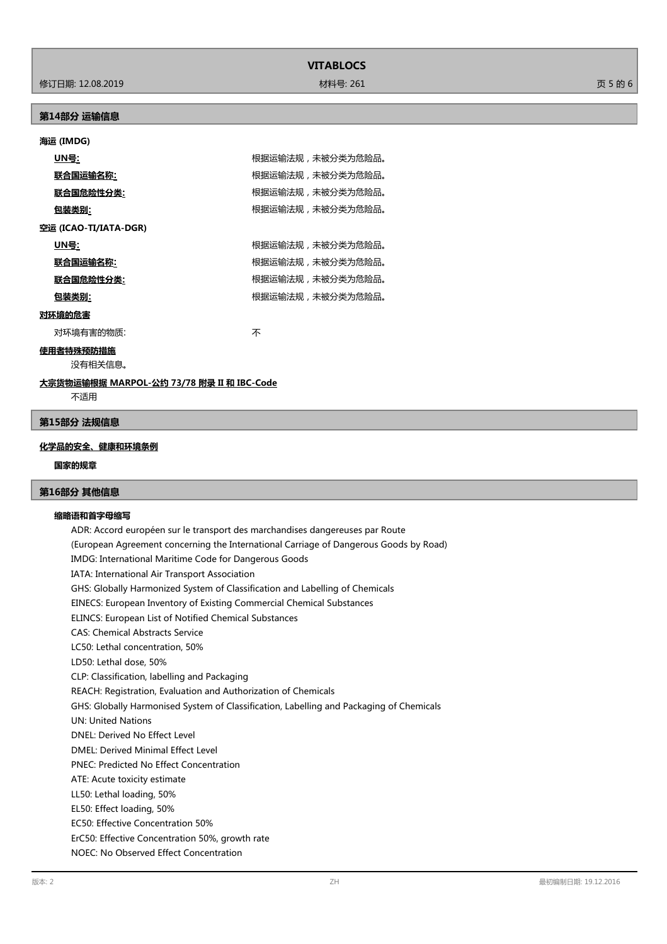|  | ۹ |
|--|---|
|  |   |

**VITABLOCS**

修订日期: 12.08.2019 材料号: 261 页 5 的 6

# **第14部分 运输信息**

# **海运 (IMDG)**

| UN号:                  |  | 根据运输法规,未被分类为危险品。 |
|-----------------------|--|------------------|
| 联合国运输名称:              |  | 根据运输法规,未被分类为危险品。 |
| 联合国危险性分类:             |  | 根据运输法规,未被分类为危险品。 |
| <u>包装类别:</u>          |  | 根据运输法规,未被分类为危险品。 |
| 空运 (ICAO-TI/IATA-DGR) |  |                  |
| UN号:                  |  | 根据运输法规,未被分类为危险品。 |
| 联合国运输名称:              |  | 根据运输法规,未被分类为危险品。 |
| 联合国危险性分类:             |  | 根据运输法规,未被分类为危险品。 |
| 包装类别:                 |  | 根据运输法规,未被分类为危险品。 |
| 对环境的危害                |  |                  |
|                       |  |                  |

对环境有害的物质: カランド しゅうしゃ アイスト 不

**使用者特殊预防措施**

没有相关信息。

# **大宗货物运输根据 MARPOL-公约 73/78 附录 II 和 IBC-Code**

不适用

# **第15部分 法规信息**

# **化学品的安全、健康和环境条例**

# **国家的规章**

# **第16部分 其他信息**

# **缩略语和首字母缩写**

ADR: Accord européen sur le transport des marchandises dangereuses par Route (European Agreement concerning the International Carriage of Dangerous Goods by Road) IMDG: International Maritime Code for Dangerous Goods IATA: International Air Transport Association GHS: Globally Harmonized System of Classification and Labelling of Chemicals EINECS: European Inventory of Existing Commercial Chemical Substances ELINCS: European List of Notified Chemical Substances CAS: Chemical Abstracts Service LC50: Lethal concentration, 50% LD50: Lethal dose, 50% CLP: Classification, labelling and Packaging REACH: Registration, Evaluation and Authorization of Chemicals GHS: Globally Harmonised System of Classification, Labelling and Packaging of Chemicals UN: United Nations DNEL: Derived No Effect Level DMEL: Derived Minimal Effect Level PNEC: Predicted No Effect Concentration ATE: Acute toxicity estimate LL50: Lethal loading, 50% EL50: Effect loading, 50% EC50: Effective Concentration 50% ErC50: Effective Concentration 50%, growth rate NOEC: No Observed Effect Concentration